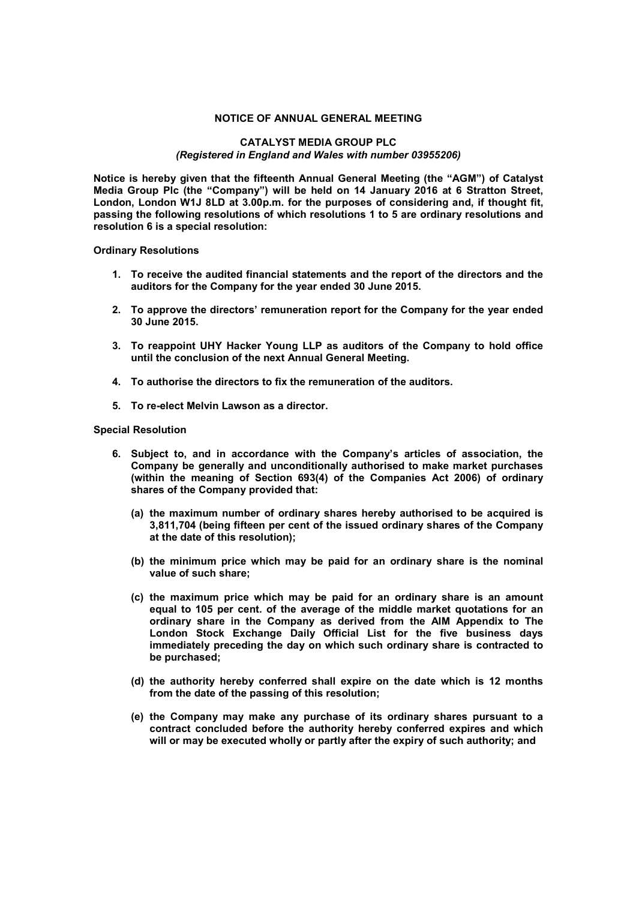## **NOTICE OF ANNUAL GENERAL MEETING**

## **CATALYST MEDIA GROUP PLC**  *(Registered in England and Wales with number 03955206)*

**Notice is hereby given that the fifteenth Annual General Meeting (the "AGM") of Catalyst Media Group Plc (the "Company") will be held on 14 January 2016 at 6 Stratton Street, London, London W1J 8LD at 3.00p.m. for the purposes of considering and, if thought fit, passing the following resolutions of which resolutions 1 to 5 are ordinary resolutions and resolution 6 is a special resolution:** 

**Ordinary Resolutions** 

- **1. To receive the audited financial statements and the report of the directors and the auditors for the Company for the year ended 30 June 2015.**
- **2. To approve the directors' remuneration report for the Company for the year ended 30 June 2015.**
- **3. To reappoint UHY Hacker Young LLP as auditors of the Company to hold office until the conclusion of the next Annual General Meeting.**
- **4. To authorise the directors to fix the remuneration of the auditors.**
- **5. To re-elect Melvin Lawson as a director.**

## **Special Resolution**

- **6. Subject to, and in accordance with the Company's articles of association, the Company be generally and unconditionally authorised to make market purchases (within the meaning of Section 693(4) of the Companies Act 2006) of ordinary shares of the Company provided that:** 
	- **(a) the maximum number of ordinary shares hereby authorised to be acquired is 3,811,704 (being fifteen per cent of the issued ordinary shares of the Company at the date of this resolution);**
	- **(b) the minimum price which may be paid for an ordinary share is the nominal value of such share;**
	- **(c) the maximum price which may be paid for an ordinary share is an amount equal to 105 per cent. of the average of the middle market quotations for an ordinary share in the Company as derived from the AIM Appendix to The London Stock Exchange Daily Official List for the five business days immediately preceding the day on which such ordinary share is contracted to be purchased;**
	- **(d) the authority hereby conferred shall expire on the date which is 12 months from the date of the passing of this resolution;**
	- **(e) the Company may make any purchase of its ordinary shares pursuant to a contract concluded before the authority hereby conferred expires and which will or may be executed wholly or partly after the expiry of such authority; and**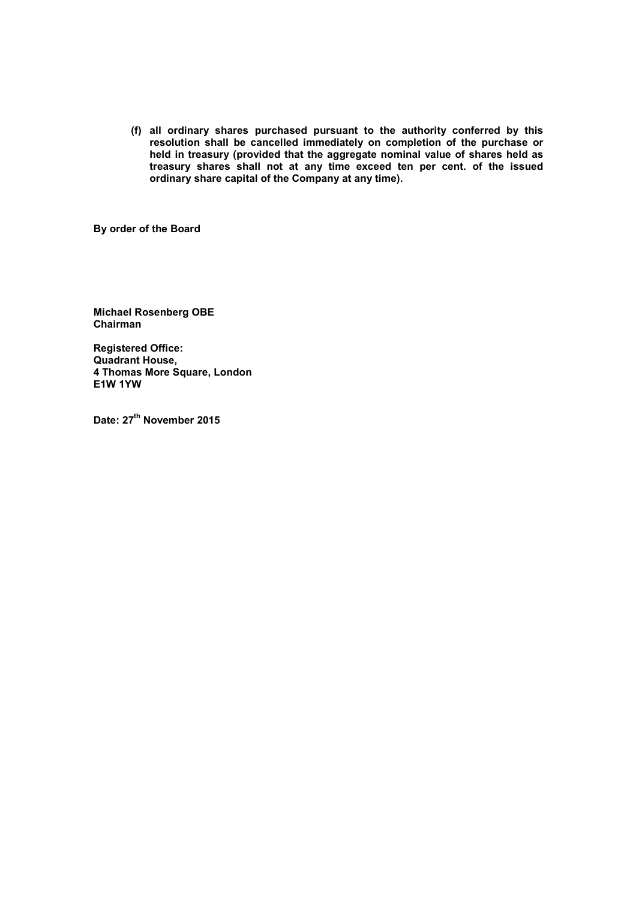**(f) all ordinary shares purchased pursuant to the authority conferred by this resolution shall be cancelled immediately on completion of the purchase or held in treasury (provided that the aggregate nominal value of shares held as treasury shares shall not at any time exceed ten per cent. of the issued ordinary share capital of the Company at any time).**

**By order of the Board**

**Michael Rosenberg OBE Chairman** 

**Registered Office: Quadrant House, 4 Thomas More Square, London E1W 1YW** 

**Date: 27th November 2015**